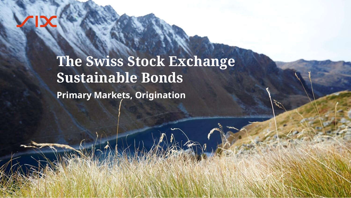Sensitivity: C1 Public Public Public Public Public Public Public Public Public Public Public Public Public Public Public Public Public Public Public Public Public Public Public Public Public Public Public Public Public Pub

# **The Swiss Stock Exchange Sustainable Bonds**

**Primary Markets, Origination**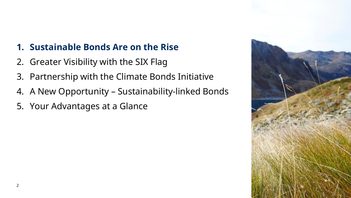# **1. Sustainable Bonds Are on the Rise**

- 2. Greater Visibility with the SIX Flag
- 3. Partnership with the Climate Bonds Initiative
- 4. A New Opportunity Sustainability-linked Bonds
- 5. Your Advantages at a Glance

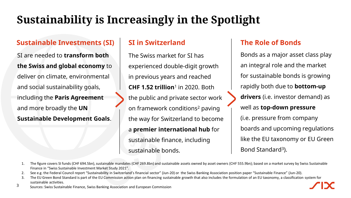# **Sustainability is Increasingly in the Spotlight**

### **Sustainable Investments (SI)**

SI are needed to **transform both the Swiss and global economy** to deliver on climate, environmental and social sustainability goals, including the **Paris Agreement** and more broadly the **UN Sustainable Development Goals**.

### **SI in Switzerland**

The Swiss market for SI has experienced double-digit growth in previous years and reached **CHF 1.52 trillion**<sup>1</sup> in 2020. Both the public and private sector work on framework conditions<sup>2</sup> paving the way for Switzerland to become a **premier international hub** for sustainable finance, including sustainable bonds.

### **The Role of Bonds**

Bonds as a major asset class play an integral role and the market for sustainable bonds is growing rapidly both due to **bottom-up drivers** (i.e. investor demand) as well as **top-down pressure**  (i.e. pressure from company boards and upcoming regulations like the EU taxonomy or EU Green Bond Standard<sup>3</sup>).

#### 1. The figure covers SI funds (CHF 694.5bn), sustainable mandates (CHF 269.8bn) and sustainable assets owned by asset owners (CHF 555.9bn); based on a market survey by Swiss Sustainable Finance in "Swiss Sustainable Investment Market Study 2021".

2. See e.g. the Federal Council report "Sustainability in Switzerland's financial sector" (Jun-20) or the Swiss Banking Association position paper "Sustainable Finance" (Jun-20).

- 3. The EU Green Bond Standard is part of the EU Commission action plan on financing sustainable growth that also includes the formulation of an EU taxonomy, a classification system for sustainable activities.
- 3 Sources: Swiss Sustainable Finance, Swiss Banking Association and European Commission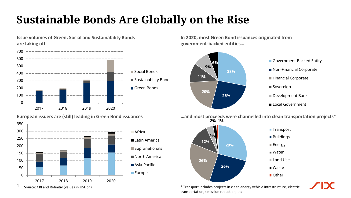# **Sustainable Bonds Are Globally on the Rise**



\* Transport includes projects in clean energy vehicle infrastructure, electric transportation, emission reduction, etc.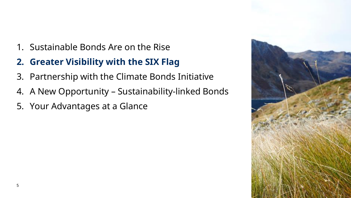- 1. Sustainable Bonds Are on the Rise
- **2. Greater Visibility with the SIX Flag**
- 3. Partnership with the Climate Bonds Initiative
- 4. A New Opportunity Sustainability-linked Bonds
- 5. Your Advantages at a Glance

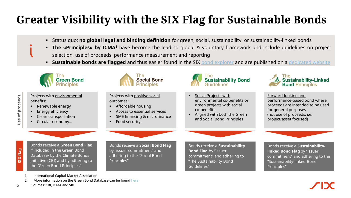# **Greater Visibility with the SIX Flag for Sustainable Bonds**

- Status quo: **no global legal and binding definition** for green, social, sustainability or sustainability-linked bonds
- **The «Principles» by ICMA<sup>1</sup>** have become the leading global & voluntary framework and include guidelines on project selection, use of proceeds, performance measurement and reporting
- **Sustainable bonds are flagged** and thus easier found in the SIX bond [explorer](https://www.six-group.com/en/products-services/the-swiss-stock-exchange/market-data/bonds/bond-explorer.html) and are published on a [dedicated](https://www.six-group.com/en/products-services/the-swiss-stock-exchange/market-data/bonds/green-bonds.html) website



- Projects with environmental benefits:
	- Renewable energy
	- **Energy efficiency**
	- Clean transportation
	- Circular economy...



Projects with positive social outcomes:

- Affordable housing
- Access to essential services
- SME financing & microfinance
- Food security...



- **•** Social Projects with environmental co-benefits or green projects with social co-benefits
- Aligned with both the Green and Social Bond Principles



Forward-looking and performance-based bond where proceeds are intended to be used for general purposes (not use of proceeds, i.e. project/asset focused)

**SIX flag**

**Use of proceeds**

Use of proceeds

6

Bonds receive a **Green Bond Flag**  if included in the Green Bond Database<sup>2</sup> by the Climate Bonds Initiative (CBI) and by adhering to the "Green Bond Principles"

Bonds receive a **Social Bond Flag** by "issuer commitment" and adhering to the "Social Bond Principles"

Bonds receive a **Sustainability Bond Flag** by "issuer commitment" and adhering to "The Sustainability Bond Guidelines"

Bonds receive a **Sustainabilitylinked Bond Flag** by "issuer commitment" and adhering to the "Sustainability-linked Bond Principles"

- 1. International Capital Market Association
- 2. More information on the Green Bond Database can be found [here](https://www.climatebonds.net/cbi/pub/data/bonds).
- Sources: CBI, ICMA and SIX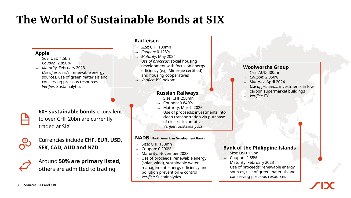# **The World of Sustainable Bonds at SIX**

#### **Apple**

- → *Size*: USD 1.5bn
- → *Coupon*: 2.850%
- → *Maturity*: February 2023
- → *Use of proceeds*: renewable energy sources, use of green materials and conserving precious resources

**60+ sustainable bonds** equivalent to over CHF 20bn are currently

Currencies include **CHF, EUR, USD,** 

Around **50% are primary listed**, others are admitted to trading

**SEK, CAD, AUD and NZD**

→ *Verifier:* Sustainalytics

traded at SIX

#### **Raiffeisen**

- → *Size*: CHF 100mn
- → *Coupon*: 0.125%
- → *Maturity*: May 2024
- → *Use of proceeds*: social housing development with focus on energy efficiency (e.g. Minergie certified) and housing cooperatives
- → *Verifier*: ISS-oekom

#### **Russian Railways**

- Size: CHF 250mn
- → Coupon: 0.840%
- Maturity: March 2026
- Use of proceeds: investments into clean transportation via purchase of electric locomotives
- → *Verifier*: Sustainalytics

#### **NADB (North American Development Bank)**

- Size: CHF 180mn
- → Coupon: 0.200%
- Maturity: November 2028
- → Use of proceeds: renewable energy (solar, wind), sustainable water management, energy efficiency and pollution prevention & control
- → *Verifier*: Sustainalytics

#### **Woolworths Group**

- $\rightarrow$  *Size*: AUD 400mn
- → *Coupon*: 2.850%
- Maturity: April 2024
- → *Use of proceeds*: investments in low carbon supermarket buildings
- → *Verifier*: EY

#### **Bank of the Philippine Islands**

- $-$  Size: USD 1.5bn
- → Coupon: 2.85%
- Maturity: February 2023
- Use of proceeds: renewable energy sources, use of green materials and conserving precious resources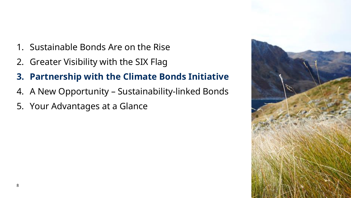- 1. Sustainable Bonds Are on the Rise
- 2. Greater Visibility with the SIX Flag
- **3. Partnership with the Climate Bonds Initiative**
- 4. A New Opportunity Sustainability-linked Bonds
- 5. Your Advantages at a Glance

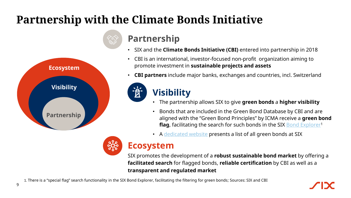# **Partnership with the Climate Bonds Initiative**

ÌЙ<br>И



## **Partnership**

- SIX and the **Climate Bonds Initiative (CBI)** entered into partnership in 2018
- CBI is an international, investor-focused non-profit organization aiming to promote investment in **sustainable projects and assets**
- **CBI partners** include major banks, exchanges and countries, incl. Switzerland

# **Visibility**

- The partnership allows SIX to give **green bonds** a **higher visibility**
- Bonds that are included in the Green Bond Database by CBI and are aligned with the "Green Bond Principles" by ICMA receive a **green bond flag**, facilitating the search for such bonds in the SIX [Bond Explorer](https://www.six-group.com/en/products-services/the-swiss-stock-exchange/market-data/bonds/bond-explorer.html)<sup>1</sup>
- A [dedicated website](https://www.six-group.com/en/products-services/the-swiss-stock-exchange/market-data/bonds/green-bonds.html) presents a list of all green bonds at SIX



## **Ecosystem**

SIX promotes the development of a **robust sustainable bond market** by offering a **facilitated search** for flagged bonds, **reliable certification** by CBI as well as a **transparent and regulated market**

1. There is a "special flag" search functionality in the SIX Bond Explorer, facilitating the filtering for green bonds; Sources: SIX and CBI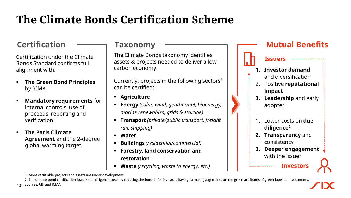# **The Climate Bonds Certification Scheme**

## **Certification**

Certification under the Climate Bonds Standard confirms full alignment with:

- **The Green Bond Principles** by ICMA
- **Mandatory requirements** for internal controls, use of proceeds, reporting and verification
- **The Paris Climate Agreement** and the 2-degree global warming target

### **Taxonomy**

The Climate Bonds taxonomy identifies assets & projects needed to deliver a low carbon economy.

Currently, projects in the following sectors<sup>1</sup> can be certified:

- **Agriculture**
- **Energy** *(solar, wind, geothermal, bioenergy, marine renewables, grids & storage)*
- **Transport** *(private/public transport, freight rail, shipping)*
- **Water**
- **Buildings** *(residential/commercial)*
- **Forestry, land conservation and restoration**
- **Waste** (recycling, waste to energy, etc.)



-----------------

#### **Issuers**

- **1. Investor demand**  and diversification
- 2. Positive **reputational impact**
- **3. Leadership** and early adopter
- 1. Lower costs on **due diligence<sup>2</sup>**
- **2. Transparency** and consistency
- **3. Deeper engagement**  with the issuer

**Investors**



1. More certifiable projects and assets are under development.

2. The climate bond certification lowers due diligence costs by reducing the burden for investors having to make judgements on the green attributes of green-labelled investments.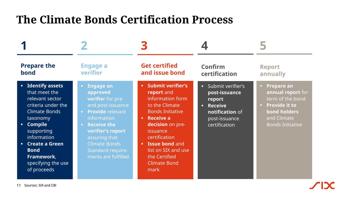# **The Climate Bonds Certification Process**

| <b>Prepare the</b><br>bond | <b>Engage a</b><br>verifier | <b>Get certified</b><br>and issue bond | Confirm<br>certification | <b>Report</b><br>annually |
|----------------------------|-----------------------------|----------------------------------------|--------------------------|---------------------------|
|                            |                             |                                        |                          |                           |
| 11 Sources: SIX and CBI    |                             |                                        |                          |                           |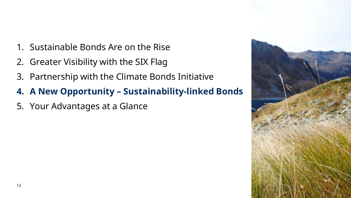- 1. Sustainable Bonds Are on the Rise
- 2. Greater Visibility with the SIX Flag
- 3. Partnership with the Climate Bonds Initiative
- **4. A New Opportunity – Sustainability-linked Bonds**
- 5. Your Advantages at a Glance

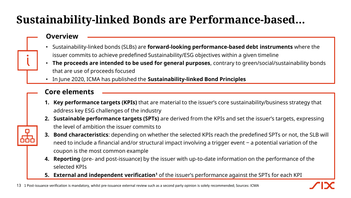# **Sustainability-linked Bonds are Performance-based…**

### **Overview**

- Sustainability-linked bonds (SLBs) are **forward-looking performance-based debt instruments** where the issuer commits to achieve predefined Sustainability/ESG objectives within a given timeline
- **The proceeds are intended to be used for general purposes**, contrary to green/social/sustainability bonds that are use of proceeds focused
- In June 2020, ICMA has published the **Sustainability-linked Bond Principles**

### **Core elements**

- **1. Key performance targets (KPIs)** that are material to the issuer's core sustainability/business strategy that address key ESG challenges of the industry
- **2. Sustainable performance targets (SPTs)** are derived from the KPIs and set the issuer's targets, expressing the level of ambition the issuer commits to
- **3. Bond characteristics**: depending on whether the selected KPIs reach the predefined SPTs or not, the SLB will need to include a financial and/or structural impact involving a trigger event  $-$  a potential variation of the coupon is the most common example
- **4. Reporting** (pre- and post-issuance) by the issuer with up-to-date information on the performance of the selected KPIs
- **5. External and independent verification<sup>1</sup>** of the issuer's performance against the SPTs for each KPI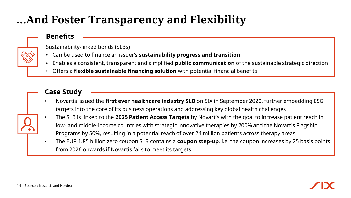# **…And Foster Transparency and Flexibility**

### **Benefits**

Sustainability-linked bonds (SLBs)

- Can be used to finance an issuer's **sustainability progress and transition**
- Enables a consistent, transparent and simplified **public communication** of the sustainable strategic direction
- Offers a **flexible sustainable financing solution** with potential financial benefits

### **Case Study**

- Novartis issued the **first ever healthcare industry SLB** on SIX in September 2020, further embedding ESG targets into the core of its business operations and addressing key global health challenges
- The SLB is linked to the **2025 Patient Access Targets** by Novartis with the goal to increase patient reach in low- and middle-income countries with strategic innovative therapies by 200% and the Novartis Flagship Programs by 50%, resulting in a potential reach of over 24 million patients across therapy areas
- The EUR 1.85 billion zero coupon SLB contains a **coupon step-up**, i.e. the coupon increases by 25 basis points from 2026 onwards if Novartis fails to meet its targets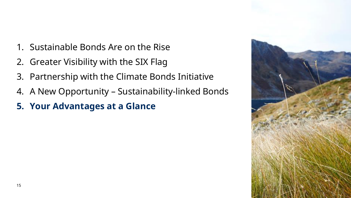- 1. Sustainable Bonds Are on the Rise
- 2. Greater Visibility with the SIX Flag
- 3. Partnership with the Climate Bonds Initiative
- 4. A New Opportunity Sustainability-linked Bonds
- **5. Your Advantages at a Glance**

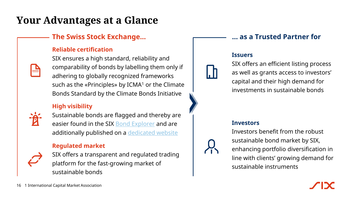# **Your Advantages at a Glance**

### **The Swiss Stock Exchange… … as a Trusted Partner for**

### **Reliable certification**

SIX ensures a high standard, reliability and comparability of bonds by labelling them only if adhering to globally recognized frameworks such as the «Principles» by ICMA<sup>1</sup> or the Climate Bonds Standard by the Climate Bonds Initiative

### **High visibility**



Sustainable bonds are flagged and thereby are easier found in the SIX **Bond Explorer** and are additionally published on a [dedicated website](https://www.six-group.com/en/products-services/the-swiss-stock-exchange/market-data/bonds/green-bonds.html)

### **Regulated market**



SIX offers a transparent and regulated trading platform for the fast-growing market of sustainable bonds

#### **Issuers**

SIX offers an efficient listing process as well as grants access to investors' capital and their high demand for investments in sustainable bonds

#### **Investors**

Investors benefit from the robust sustainable bond market by SIX, enhancing portfolio diversification in line with clients' growing demand for sustainable instruments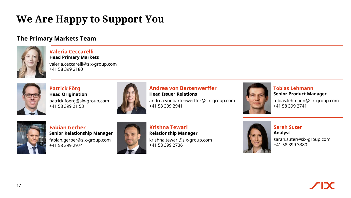# **We Are Happy to Support You**

### **The Primary Markets Team**



#### **Valeria Ceccarelli Head Primary Markets**

valeria.ceccarelli@six-group.com +41 58 399 2180



**Patrick Förg Head Origination** patrick.foerg@six-group.com  $+41$  58 399 21 53



#### **Andrea von Bartenwerffer Head Issuer Relations**

andrea.vonbartenwerffer@six-group.com +41 58 399 2941



**Tobias Lehmann Senior Product Manager**

tobias.lehmann@six-group.com +41 58 399 2741



**Fabian Gerber Senior Relationship Manager** fabian.gerber@six-group.com +41 58 399 2974



**Krishna Tewari Relationship Manager** krishna.tewari@six-group.com +41 58 399 2736



**Sarah Suter Analyst** sarah.suter@six-group.com +41 58 399 3380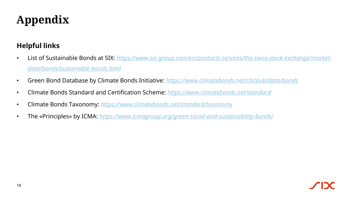# **Appendix**

### **Helpful links**

- List of Sustainable Bonds at SIX: *[https://www.six-group.com/en/products-services/the-swiss-stock-exchange/market](https://www.six-group.com/en/products-services/the-swiss-stock-exchange/market-data/bonds/sustainable-bonds.html)data/bonds/sustainable-bonds.html*
- Green Bond Database by Climate Bonds Initiative: *<https://www.climatebonds.net/cbi/pub/data/bonds>*
- Climate Bonds Standard and Certification Scheme: *<https://www.climatebonds.net/standard>*
- Climate Bonds Taxonomy: *<https://www.climatebonds.net/standard/taxonomy>*
- The «Principles» by ICMA: *<https://www.icmagroup.org/green-social-and-sustainability-bonds/>*